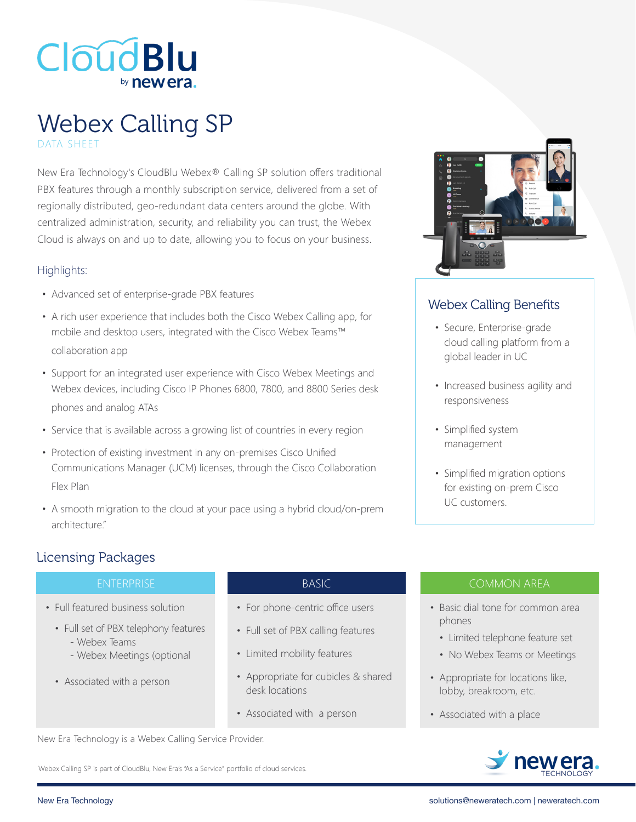

# Webex Calling SP DATA SHEET

New Era Technology's CloudBlu Webex® Calling SP solution offers traditional PBX features through a monthly subscription service, delivered from a set of regionally distributed, geo-redundant data centers around the globe. With centralized administration, security, and reliability you can trust, the Webex Cloud is always on and up to date, allowing you to focus on your business.

#### Highlights:

- Advanced set of enterprise-grade PBX features
- A rich user experience that includes both the Cisco Webex Calling app, for mobile and desktop users, integrated with the Cisco Webex Teams™ collaboration app
- Support for an integrated user experience with Cisco Webex Meetings and Webex devices, including Cisco IP Phones 6800, 7800, and 8800 Series desk phones and analog ATAs
- Service that is available across a growing list of countries in every region
- Protection of existing investment in any on-premises Cisco Unified Communications Manager (UCM) licenses, through the Cisco Collaboration Flex Plan
- A smooth migration to the cloud at your pace using a hybrid cloud/on-prem architecture."



## Webex Calling Benefits

- Secure, Enterprise-grade cloud calling platform from a global leader in UC
- Increased business agility and responsiveness
- Simplified system management
- Simplified migration options for existing on-prem Cisco UC customers.

### Licensing Packages

- Full featured business solution
	- Full set of PBX telephony features
		- Webex Teams
		- Webex Meetings (optional
	- Associated with a person

- For phone-centric office users
- Full set of PBX calling features
- Limited mobility features
- Appropriate for cubicles & shared desk locations
- Associated with a person

### ENTERPRISE ENTERPRISE ENTERPRISE ENTERPRISE

- Basic dial tone for common area phones
	- Limited telephone feature set
	- No Webex Teams or Meetings
- Appropriate for locations like, lobby, breakroom, etc.
- Associated with a place



Webex Calling SP is part of CloudBlu, New Era's "As a Service" portfolio of cloud services.

New Era Technology is a Webex Calling Service Provider.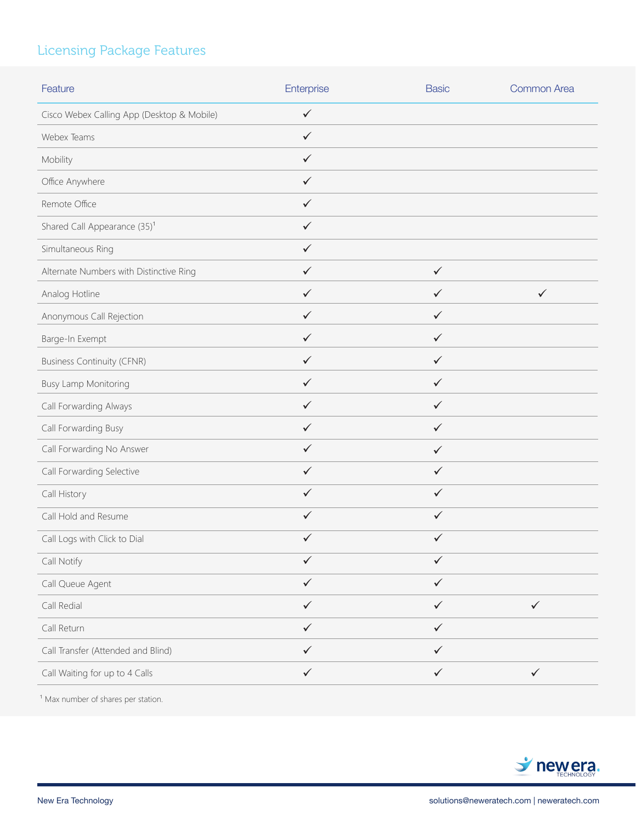# Licensing Package Features

| Feature                                    | Enterprise   | <b>Basic</b> | Common Area  |
|--------------------------------------------|--------------|--------------|--------------|
| Cisco Webex Calling App (Desktop & Mobile) | $\checkmark$ |              |              |
| Webex Teams                                | $\checkmark$ |              |              |
| Mobility                                   | $\checkmark$ |              |              |
| Office Anywhere                            | $\checkmark$ |              |              |
| Remote Office                              | $\checkmark$ |              |              |
| Shared Call Appearance (35) <sup>1</sup>   | $\checkmark$ |              |              |
| Simultaneous Ring                          | $\checkmark$ |              |              |
| Alternate Numbers with Distinctive Ring    | $\checkmark$ | $\checkmark$ |              |
| Analog Hotline                             | $\checkmark$ | $\checkmark$ | $\checkmark$ |
| Anonymous Call Rejection                   | $\checkmark$ | $\checkmark$ |              |
| Barge-In Exempt                            | $\checkmark$ | $\checkmark$ |              |
| <b>Business Continuity (CFNR)</b>          | $\checkmark$ | $\checkmark$ |              |
| <b>Busy Lamp Monitoring</b>                | $\checkmark$ | $\checkmark$ |              |
| Call Forwarding Always                     | $\checkmark$ | $\checkmark$ |              |
| Call Forwarding Busy                       | $\checkmark$ | $\checkmark$ |              |
| Call Forwarding No Answer                  | $\checkmark$ | $\checkmark$ |              |
| Call Forwarding Selective                  | $\checkmark$ | $\checkmark$ |              |
| Call History                               | $\checkmark$ | $\checkmark$ |              |
| Call Hold and Resume                       | $\checkmark$ | $\checkmark$ |              |
| Call Logs with Click to Dial               | $\checkmark$ | $\checkmark$ |              |
| Call Notify                                | $\checkmark$ | $\checkmark$ |              |
| Call Queue Agent                           | $\checkmark$ | $\checkmark$ |              |
| Call Redial                                | $\checkmark$ | $\checkmark$ | $\checkmark$ |
| Call Return                                | $\checkmark$ | $\checkmark$ |              |
| Call Transfer (Attended and Blind)         | $\checkmark$ | $\checkmark$ |              |
| Call Waiting for up to 4 Calls             | $\checkmark$ | $\checkmark$ | $\checkmark$ |

 $1$  Max number of shares per station.

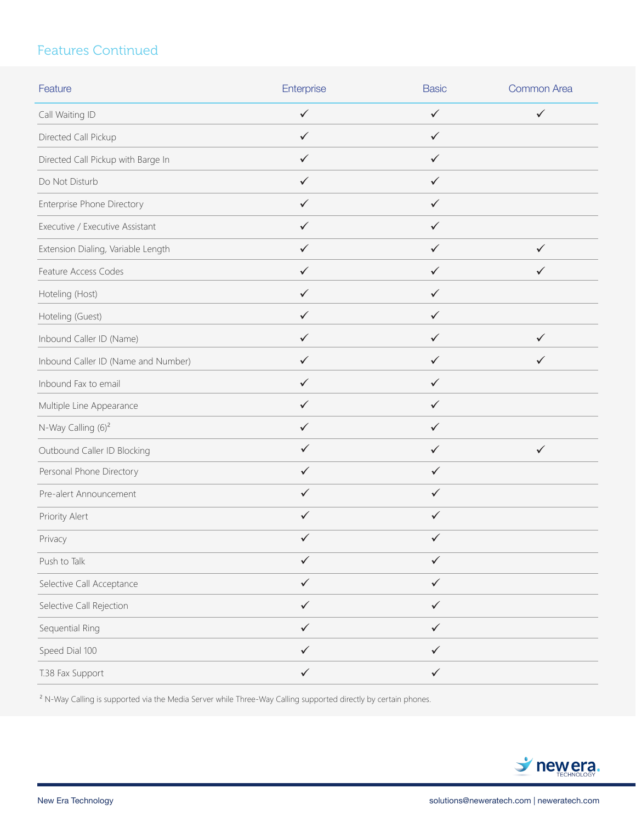# Features Continued

| Feature                             | Enterprise   | <b>Basic</b> | <b>Common Area</b> |
|-------------------------------------|--------------|--------------|--------------------|
| Call Waiting ID                     | $\checkmark$ | $\checkmark$ | $\checkmark$       |
| Directed Call Pickup                | $\checkmark$ | $\checkmark$ |                    |
| Directed Call Pickup with Barge In  | ✓            | ✓            |                    |
| Do Not Disturb                      | $\checkmark$ | $\checkmark$ |                    |
| Enterprise Phone Directory          | $\checkmark$ | $\checkmark$ |                    |
| Executive / Executive Assistant     | $\checkmark$ | ✓            |                    |
| Extension Dialing, Variable Length  | $\checkmark$ | ✓            | $\checkmark$       |
| Feature Access Codes                | ✓            | ✓            | ✓                  |
| Hoteling (Host)                     | $\checkmark$ | $\checkmark$ |                    |
| Hoteling (Guest)                    | $\checkmark$ | ✓            |                    |
| Inbound Caller ID (Name)            | $\checkmark$ | ✓            | ✓                  |
| Inbound Caller ID (Name and Number) | $\checkmark$ | ✓            | ✓                  |
| Inbound Fax to email                | ✓            | ✓            |                    |
| Multiple Line Appearance            | ✓            | ✓            |                    |
| N-Way Calling (6) <sup>2</sup>      | $\checkmark$ | ✓            |                    |
| Outbound Caller ID Blocking         | $\checkmark$ | $\checkmark$ | $\checkmark$       |
| Personal Phone Directory            | $\checkmark$ | $\checkmark$ |                    |
| Pre-alert Announcement              | ✓            | $\checkmark$ |                    |
| Priority Alert                      | $\checkmark$ | $\checkmark$ |                    |
| Privacy                             | ✓            | ✓            |                    |
| Push to Talk                        | $\checkmark$ | $\checkmark$ |                    |
| Selective Call Acceptance           | $\checkmark$ | $\checkmark$ |                    |
| Selective Call Rejection            | $\checkmark$ | $\checkmark$ |                    |
| Sequential Ring                     | $\checkmark$ | $\checkmark$ |                    |
| Speed Dial 100                      | $\checkmark$ | $\checkmark$ |                    |
| T.38 Fax Support                    | $\checkmark$ | $\checkmark$ |                    |

<sup>2</sup> N-Way Calling is supported via the Media Server while Three-Way Calling supported directly by certain phones.